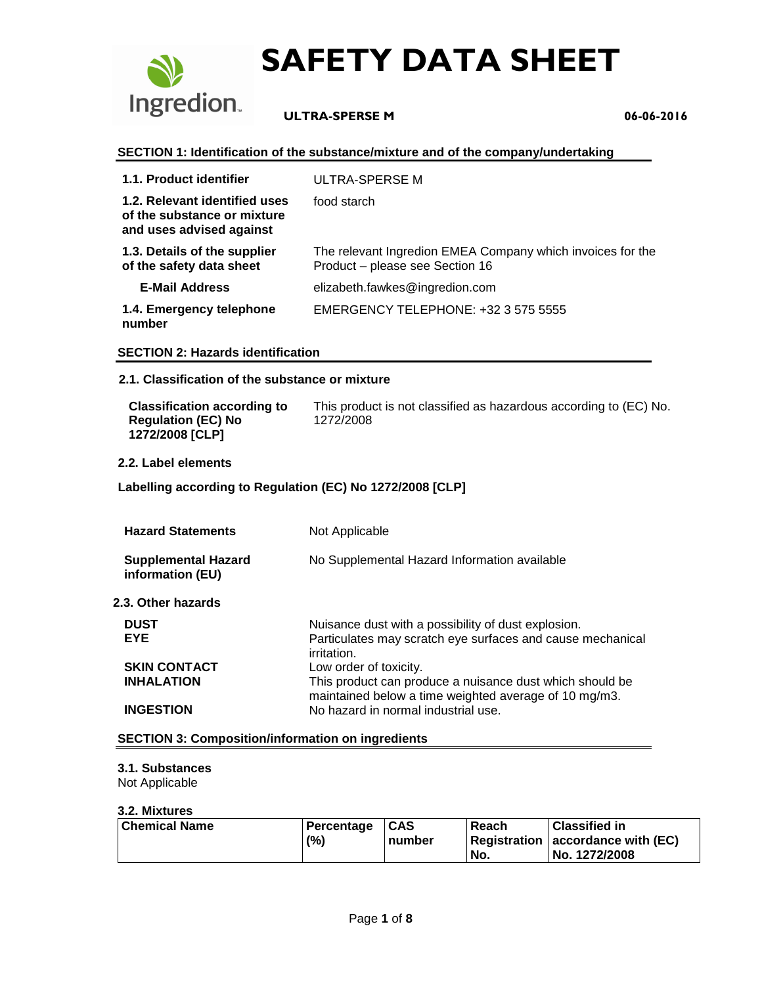

## **ULTRA-SPERSE M 06-06-2016**

#### **SECTION 1: Identification of the substance/mixture and of the company/undertaking**

| 1.1. Product identifier                                                                  | ULTRA-SPERSE M                                                                                |
|------------------------------------------------------------------------------------------|-----------------------------------------------------------------------------------------------|
| 1.2. Relevant identified uses<br>of the substance or mixture<br>and uses advised against | food starch                                                                                   |
| 1.3. Details of the supplier<br>of the safety data sheet                                 | The relevant Ingredion EMEA Company which invoices for the<br>Product - please see Section 16 |
| <b>E-Mail Address</b>                                                                    | elizabeth.fawkes@ingredion.com                                                                |
| 1.4. Emergency telephone<br>number                                                       | EMERGENCY TELEPHONE: +32 3 575 5555                                                           |

#### **SECTION 2: Hazards identification**

#### **2.1. Classification of the substance or mixture**

| <b>Classification according to</b>           | This product is not classified as hazardous according to (EC) No. |
|----------------------------------------------|-------------------------------------------------------------------|
| <b>Regulation (EC) No</b><br>1272/2008 [CLP] | 1272/2008                                                         |

#### **2.2. Label elements**

#### **Labelling according to Regulation (EC) No 1272/2008 [CLP]**

| <b>Hazard Statements</b>                       | Not Applicable                                                                                                                   |
|------------------------------------------------|----------------------------------------------------------------------------------------------------------------------------------|
| <b>Supplemental Hazard</b><br>information (EU) | No Supplemental Hazard Information available                                                                                     |
| 2.3. Other hazards                             |                                                                                                                                  |
| <b>DUST</b><br><b>EYE</b>                      | Nuisance dust with a possibility of dust explosion.<br>Particulates may scratch eye surfaces and cause mechanical<br>irritation. |
| <b>SKIN CONTACT</b>                            | Low order of toxicity.                                                                                                           |
| <b>INHALATION</b>                              | This product can produce a nuisance dust which should be<br>maintained below a time weighted average of 10 mg/m3.                |
| <b>INGESTION</b>                               | No hazard in normal industrial use.                                                                                              |

#### **SECTION 3: Composition/information on ingredients**

#### **3.1. Substances**

Not Applicable

#### **3.2. Mixtures**

| Chemical Name | Percentage | $1CAS$ | Reach | <b>Classified in</b>              |
|---------------|------------|--------|-------|-----------------------------------|
|               | (%)        | number |       | Registration accordance with (EC) |
|               |            |        | No.   | No. 1272/2008                     |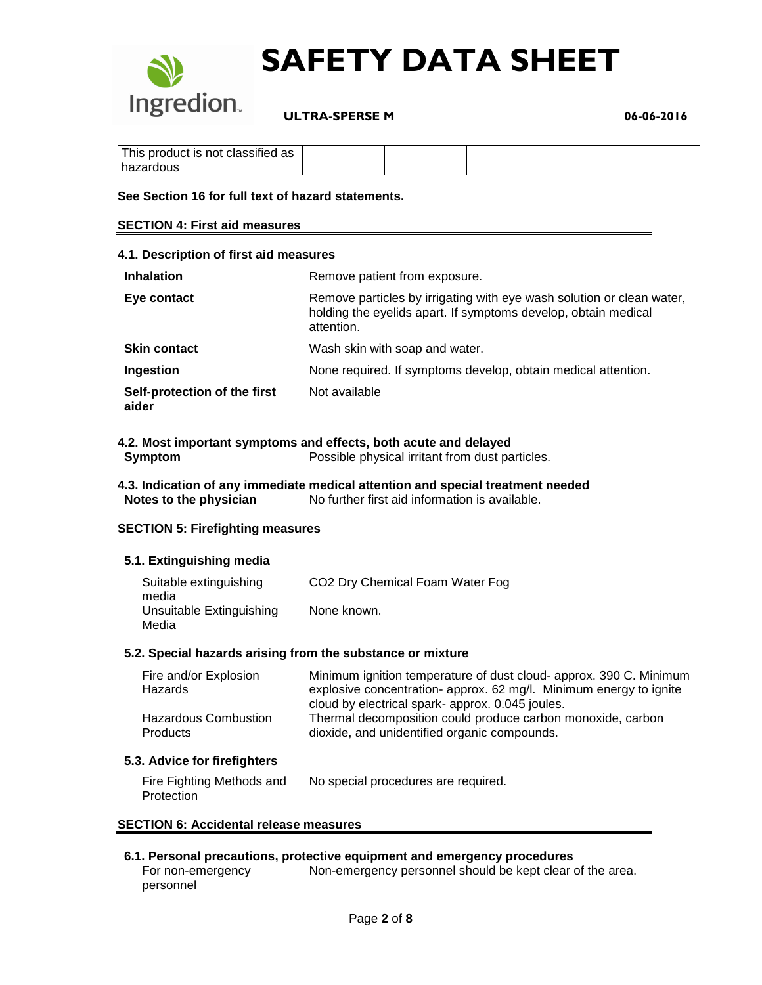

 **ULTRA-SPERSE M 06-06-2016**

| $\cdots$<br>This product is not classified as |  |  |
|-----------------------------------------------|--|--|
| hazardous                                     |  |  |

#### **See Section 16 for full text of hazard statements.**

#### **SECTION 4: First aid measures**

| 4.1. Description of first aid measures |                                                                                                                                                       |
|----------------------------------------|-------------------------------------------------------------------------------------------------------------------------------------------------------|
| <b>Inhalation</b>                      | Remove patient from exposure.                                                                                                                         |
| Eye contact                            | Remove particles by irrigating with eye wash solution or clean water,<br>holding the eyelids apart. If symptoms develop, obtain medical<br>attention. |
| <b>Skin contact</b>                    | Wash skin with soap and water.                                                                                                                        |
| Ingestion                              | None required. If symptoms develop, obtain medical attention.                                                                                         |
| Self-protection of the first<br>aider  | Not available                                                                                                                                         |

#### **4.2. Most important symptoms and effects, both acute and delayed Symptom** Possible physical irritant from dust particles.

#### **4.3. Indication of any immediate medical attention and special treatment needed Notes to the physician** No further first aid information is available.

#### **SECTION 5: Firefighting measures**

#### **5.1. Extinguishing media**

| Suitable extinguishing<br>media   | CO <sub>2</sub> Dry Chemical Foam Water Fog |
|-----------------------------------|---------------------------------------------|
| Unsuitable Extinguishing<br>Media | None known.                                 |

#### **5.2. Special hazards arising from the substance or mixture**

| Fire and/or Explosion       | Minimum ignition temperature of dust cloud- approx. 390 C. Minimum |
|-----------------------------|--------------------------------------------------------------------|
| Hazards                     | explosive concentration-approx. 62 mg/l. Minimum energy to ignite  |
|                             | cloud by electrical spark-approx. 0.045 joules.                    |
| <b>Hazardous Combustion</b> | Thermal decomposition could produce carbon monoxide, carbon        |
| <b>Products</b>             | dioxide, and unidentified organic compounds.                       |

#### **5.3. Advice for firefighters**

| Fire Fighting Methods and | No special procedures are required. |
|---------------------------|-------------------------------------|
| Protection                |                                     |

#### **SECTION 6: Accidental release measures**

#### **6.1. Personal precautions, protective equipment and emergency procedures**

For non-emergency personnel Non-emergency personnel should be kept clear of the area.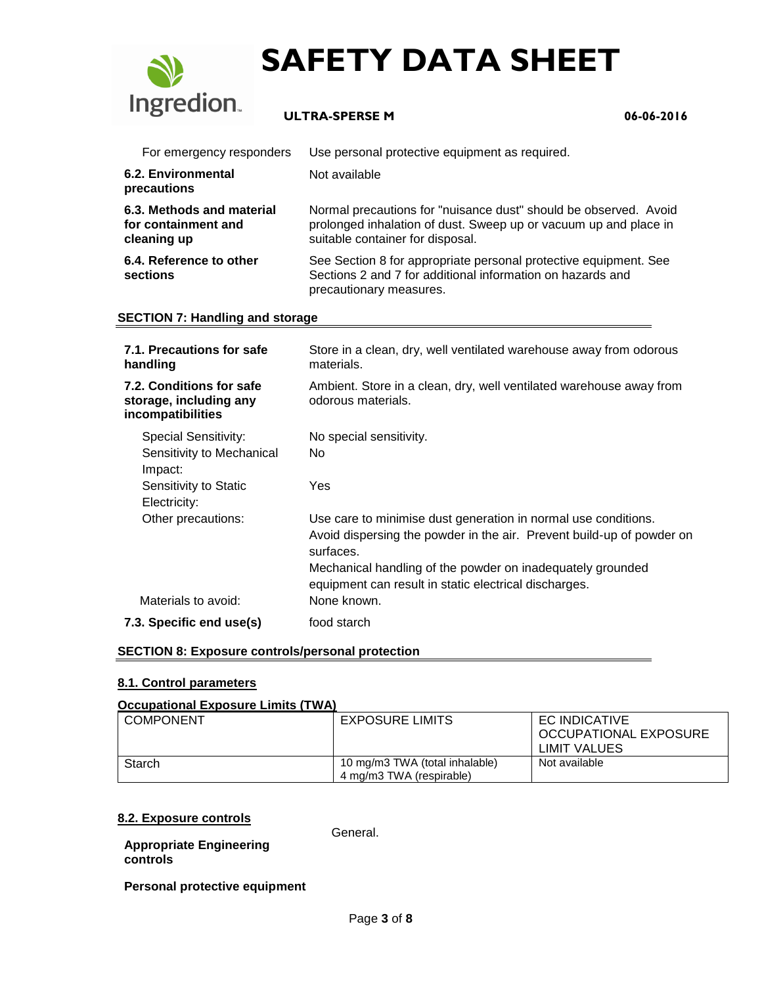

## **ULTRA-SPERSE M 06-06-2016**

| For emergency responders                                        | Use personal protective equipment as required.                                                                                                                           |
|-----------------------------------------------------------------|--------------------------------------------------------------------------------------------------------------------------------------------------------------------------|
| 6.2. Environmental<br>precautions                               | Not available                                                                                                                                                            |
| 6.3. Methods and material<br>for containment and<br>cleaning up | Normal precautions for "nuisance dust" should be observed. Avoid<br>prolonged inhalation of dust. Sweep up or vacuum up and place in<br>suitable container for disposal. |
| 6.4. Reference to other<br>sections                             | See Section 8 for appropriate personal protective equipment. See<br>Sections 2 and 7 for additional information on hazards and<br>precautionary measures.                |

#### **SECTION 7: Handling and storage**

| 7.1. Precautions for safe<br>handling                                   | Store in a clean, dry, well ventilated warehouse away from odorous<br>materials.                                                                     |
|-------------------------------------------------------------------------|------------------------------------------------------------------------------------------------------------------------------------------------------|
| 7.2. Conditions for safe<br>storage, including any<br>incompatibilities | Ambient. Store in a clean, dry, well ventilated warehouse away from<br>odorous materials.                                                            |
| Special Sensitivity:                                                    | No special sensitivity.                                                                                                                              |
| Sensitivity to Mechanical<br>Impact:                                    | No.                                                                                                                                                  |
| Sensitivity to Static<br>Electricity:                                   | Yes                                                                                                                                                  |
| Other precautions:                                                      | Use care to minimise dust generation in normal use conditions.<br>Avoid dispersing the powder in the air. Prevent build-up of powder on<br>surfaces. |
|                                                                         | Mechanical handling of the powder on inadequately grounded<br>equipment can result in static electrical discharges.                                  |
| Materials to avoid:                                                     | None known.                                                                                                                                          |
| 7.3. Specific end use(s)                                                | food starch                                                                                                                                          |

#### **SECTION 8: Exposure controls/personal protection**

#### **8.1. Control parameters**

#### **Occupational Exposure Limits (TWA)**

| <b>COMPONENT</b> | <b>EXPOSURE LIMITS</b>         | EC INDICATIVE<br>OCCUPATIONAL EXPOSURE<br>LIMIT VALUES |
|------------------|--------------------------------|--------------------------------------------------------|
| Starch           | 10 mg/m3 TWA (total inhalable) | Not available                                          |
|                  | 4 mg/m3 TWA (respirable)       |                                                        |

#### **8.2. Exposure controls**

**Appropriate Engineering** 

General.

**controls**

**Personal protective equipment**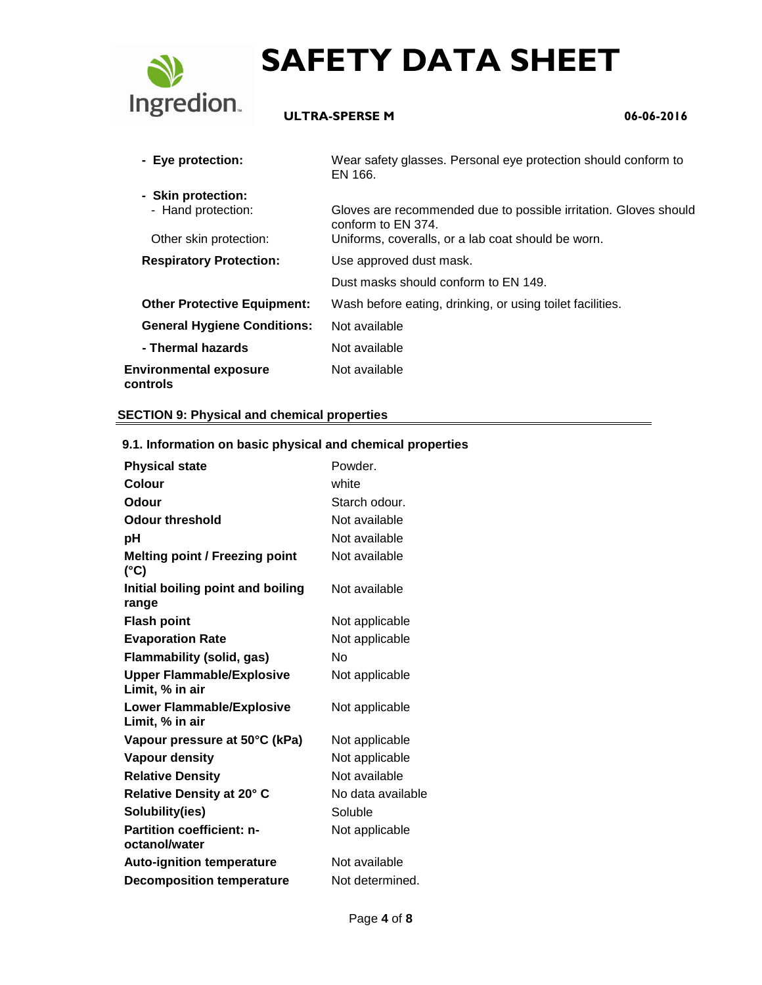

## **ULTRA-SPERSE M 06-06-2016**

| - Eye protection:                                                  | Wear safety glasses. Personal eye protection should conform to<br>EN 166.                                                                    |
|--------------------------------------------------------------------|----------------------------------------------------------------------------------------------------------------------------------------------|
| - Skin protection:<br>- Hand protection:<br>Other skin protection: | Gloves are recommended due to possible irritation. Gloves should<br>conform to EN 374.<br>Uniforms, coveralls, or a lab coat should be worn. |
| <b>Respiratory Protection:</b>                                     | Use approved dust mask.                                                                                                                      |
|                                                                    | Dust masks should conform to EN 149.                                                                                                         |
| <b>Other Protective Equipment:</b>                                 | Wash before eating, drinking, or using toilet facilities.                                                                                    |
| <b>General Hygiene Conditions:</b>                                 | Not available                                                                                                                                |
| - Thermal hazards                                                  | Not available                                                                                                                                |
| <b>Environmental exposure</b><br>controls                          | Not available                                                                                                                                |

#### **SECTION 9: Physical and chemical properties**

| 9. i. information on basic priysical and chemical properties |                   |
|--------------------------------------------------------------|-------------------|
| <b>Physical state</b>                                        | Powder.           |
| Colour                                                       | white             |
| <b>Odour</b>                                                 | Starch odour.     |
| <b>Odour threshold</b>                                       | Not available     |
| рH                                                           | Not available     |
| <b>Melting point / Freezing point</b><br>$(^{\circ}C)$       | Not available     |
| Initial boiling point and boiling<br>range                   | Not available     |
| <b>Flash point</b>                                           | Not applicable    |
| <b>Evaporation Rate</b>                                      | Not applicable    |
| <b>Flammability (solid, gas)</b>                             | No                |
| <b>Upper Flammable/Explosive</b><br>Limit, % in air          | Not applicable    |
| <b>Lower Flammable/Explosive</b><br>Limit, % in air          | Not applicable    |
| Vapour pressure at 50°C (kPa)                                | Not applicable    |
| <b>Vapour density</b>                                        | Not applicable    |
| <b>Relative Density</b>                                      | Not available     |
| Relative Density at 20° C                                    | No data available |
| Solubility(ies)                                              | Soluble           |
| <b>Partition coefficient: n-</b><br>octanol/water            | Not applicable    |
| <b>Auto-ignition temperature</b>                             | Not available     |
| <b>Decomposition temperature</b>                             | Not determined.   |
|                                                              |                   |

## **9.1. Information on basic physical and chemical properties**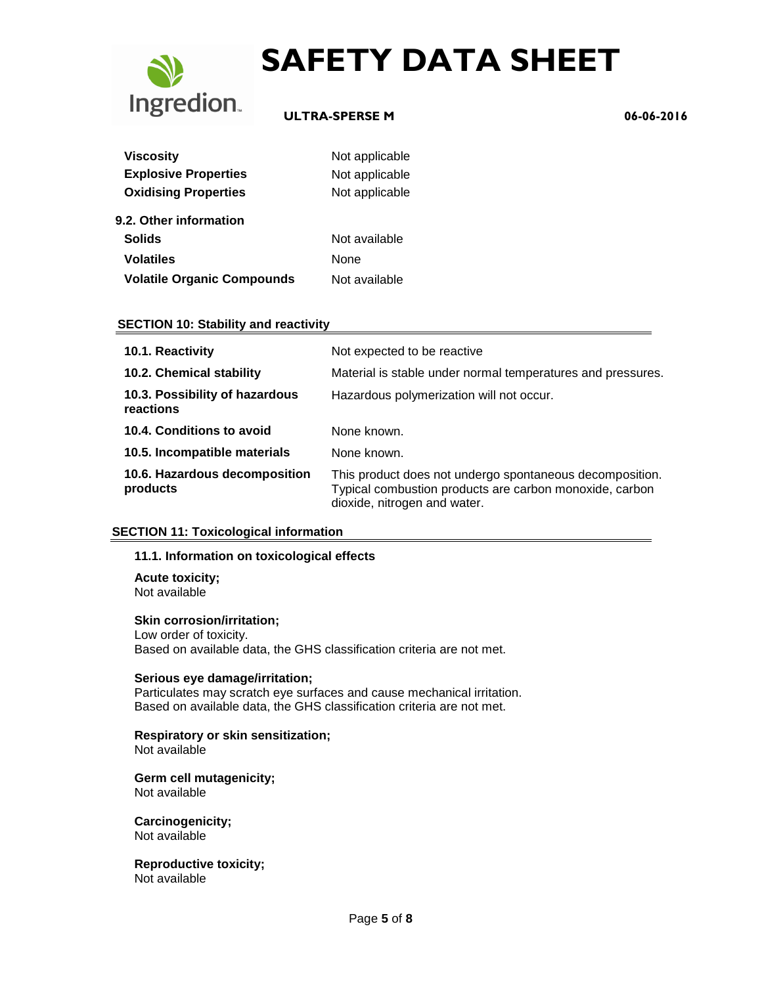

## **ULTRA-SPERSE M 06-06-2016**

| <b>Viscosity</b>                  | Not applicable |  |
|-----------------------------------|----------------|--|
| <b>Explosive Properties</b>       | Not applicable |  |
| <b>Oxidising Properties</b>       | Not applicable |  |
| 9.2. Other information            |                |  |
| <b>Solids</b>                     | Not available  |  |
| <b>Volatiles</b>                  | None           |  |
| <b>Volatile Organic Compounds</b> | Not available  |  |

#### **SECTION 10: Stability and reactivity**

| 10.1. Reactivity                            | Not expected to be reactive                                                                                                                         |
|---------------------------------------------|-----------------------------------------------------------------------------------------------------------------------------------------------------|
| 10.2. Chemical stability                    | Material is stable under normal temperatures and pressures.                                                                                         |
| 10.3. Possibility of hazardous<br>reactions | Hazardous polymerization will not occur.                                                                                                            |
| 10.4. Conditions to avoid                   | None known.                                                                                                                                         |
| 10.5. Incompatible materials                | None known.                                                                                                                                         |
| 10.6. Hazardous decomposition<br>products   | This product does not undergo spontaneous decomposition.<br>Typical combustion products are carbon monoxide, carbon<br>dioxide, nitrogen and water. |

#### **SECTION 11: Toxicological information**

#### **11.1. Information on toxicological effects**

**Acute toxicity;** Not available

#### **Skin corrosion/irritation;**

Low order of toxicity. Based on available data, the GHS classification criteria are not met.

#### **Serious eye damage/irritation;**

Particulates may scratch eye surfaces and cause mechanical irritation. Based on available data, the GHS classification criteria are not met.

## **Respiratory or skin sensitization;**

Not available

#### **Germ cell mutagenicity;** Not available

**Carcinogenicity;** Not available

**Reproductive toxicity;** Not available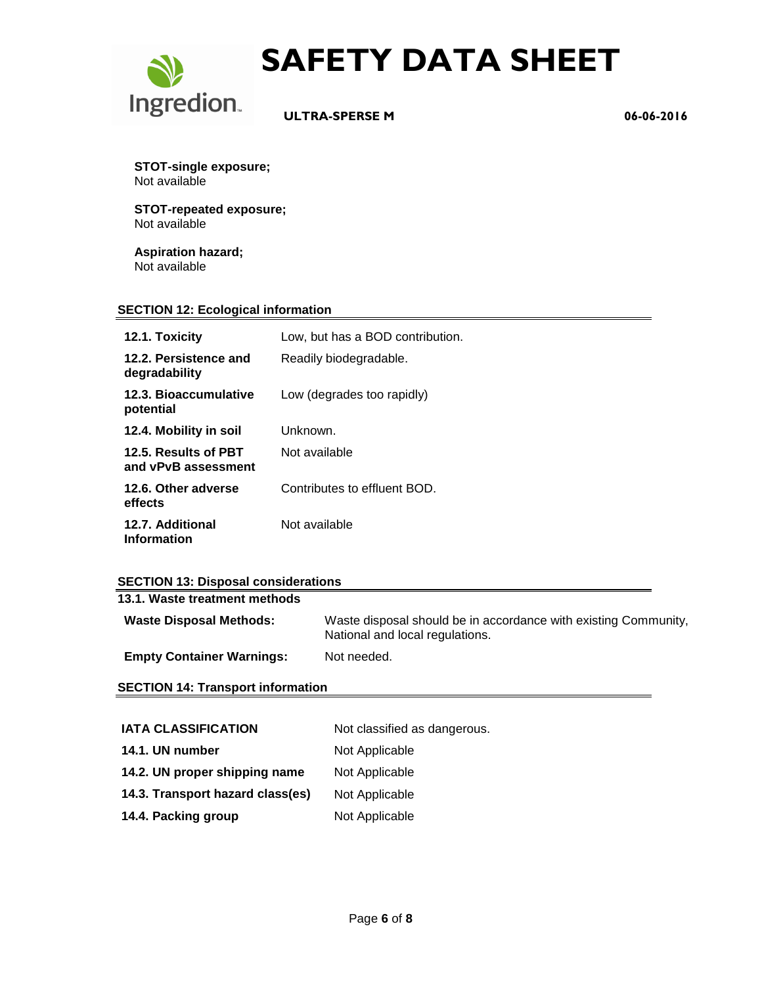

 **ULTRA-SPERSE M 06-06-2016**

**STOT-single exposure;** Not available

**STOT-repeated exposure;** Not available

**Aspiration hazard;** Not available

#### **SECTION 12: Ecological information**

| 12.1. Toxicity                              | Low, but has a BOD contribution. |
|---------------------------------------------|----------------------------------|
| 12.2. Persistence and<br>degradability      | Readily biodegradable.           |
| 12.3. Bioaccumulative<br>potential          | Low (degrades too rapidly)       |
| 12.4. Mobility in soil                      | Unknown.                         |
| 12.5. Results of PBT<br>and vPvB assessment | Not available                    |
| 12.6. Other adverse<br>effects              | Contributes to effluent BOD.     |
| 12.7. Additional<br><b>Information</b>      | Not available                    |

### **SECTION 13: Disposal considerations**

| 13.1. Waste treatment methods    |                                                                                                    |
|----------------------------------|----------------------------------------------------------------------------------------------------|
| <b>Waste Disposal Methods:</b>   | Waste disposal should be in accordance with existing Community,<br>National and local regulations. |
| <b>Empty Container Warnings:</b> | Not needed.                                                                                        |

#### **SECTION 14: Transport information**

| <b>IATA CLASSIFICATION</b>       | Not classified as dangerous. |
|----------------------------------|------------------------------|
| 14.1. UN number                  | Not Applicable               |
| 14.2. UN proper shipping name    | Not Applicable               |
| 14.3. Transport hazard class(es) | Not Applicable               |
| 14.4. Packing group              | Not Applicable               |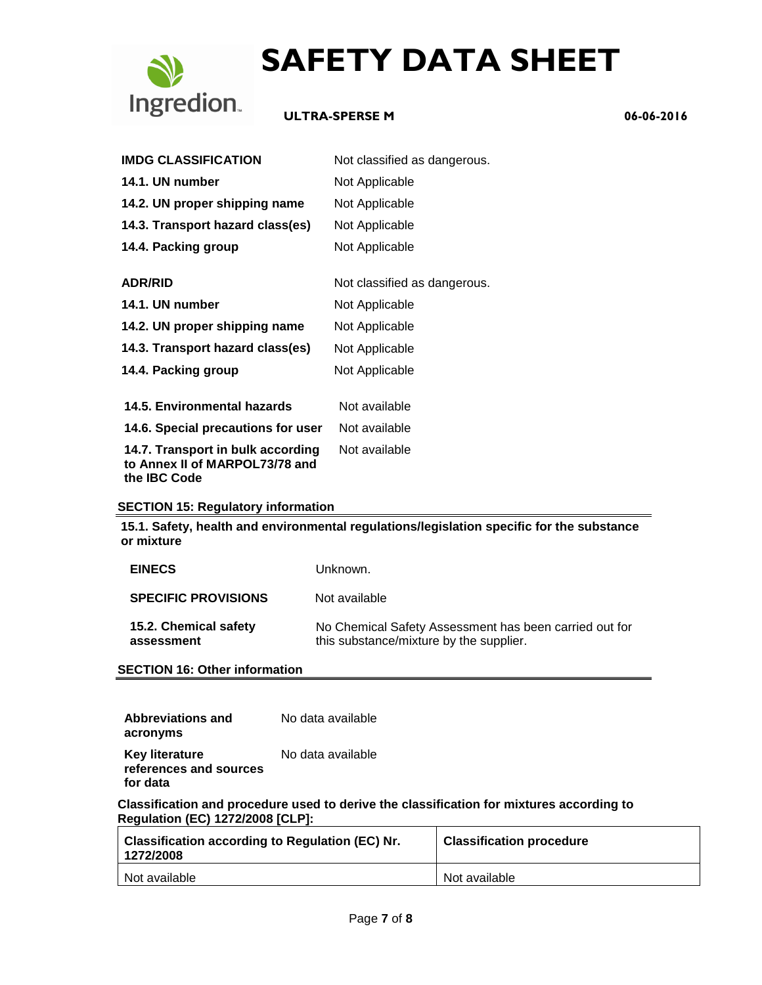

### **ULTRA-SPERSE M 06-06-2016**

| <b>IMDG CLASSIFICATION</b>                                                                 | Not classified as dangerous. |
|--------------------------------------------------------------------------------------------|------------------------------|
| 14.1. UN number                                                                            | Not Applicable               |
| 14.2. UN proper shipping name                                                              | Not Applicable               |
| 14.3. Transport hazard class(es)                                                           | Not Applicable               |
| 14.4. Packing group                                                                        | Not Applicable               |
| <b>ADR/RID</b>                                                                             | Not classified as dangerous. |
| 14.1. UN number                                                                            | Not Applicable               |
| 14.2. UN proper shipping name                                                              | Not Applicable               |
| 14.3. Transport hazard class(es)                                                           | Not Applicable               |
| 14.4. Packing group                                                                        | Not Applicable               |
| 14.5. Environmental hazards                                                                | Not available                |
| 14.6. Special precautions for user                                                         | Not available                |
| 14.7. Transport in bulk according<br>to Annex II of MARPOL73/78 and<br>the <b>IBC</b> Code | Not available                |

#### **SECTION 15: Regulatory information**

**15.1. Safety, health and environmental regulations/legislation specific for the substance or mixture**

| <b>EINECS</b>                       | Unknown.                                                                                          |
|-------------------------------------|---------------------------------------------------------------------------------------------------|
| <b>SPECIFIC PROVISIONS</b>          | Not available                                                                                     |
| 15.2. Chemical safety<br>assessment | No Chemical Safety Assessment has been carried out for<br>this substance/mixture by the supplier. |

**SECTION 16: Other information**

| <b>Abbreviations and</b>                                    | No data available |
|-------------------------------------------------------------|-------------------|
| acronyms                                                    |                   |
| <b>Key literature</b><br>references and sources<br>for data | No data available |

**Classification and procedure used to derive the classification for mixtures according to Regulation (EC) 1272/2008 [CLP]:**

| <b>Classification according to Regulation (EC) Nr.</b><br>1272/2008 | <b>Classification procedure</b> |
|---------------------------------------------------------------------|---------------------------------|
| Not available                                                       | Not available                   |